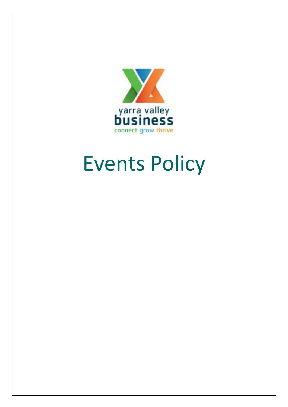

# Events Policy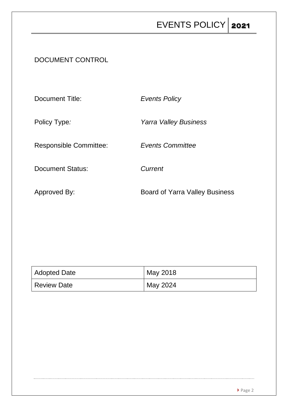DOCUMENT CONTROL

Document Title: *Events Policy* Policy Type*: Yarra Valley Business* Responsible Committee: *Events Committee* Document Status: *Current* Approved By: Same Board of Yarra Valley Business

| Adopted Date | May 2018 |
|--------------|----------|
| Review Date  | May 2024 |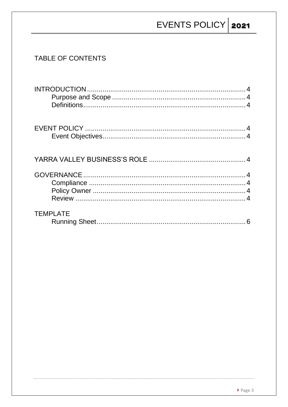### TABLE OF CONTENTS

| <b>TEMPLATE</b> | 6 |
|-----------------|---|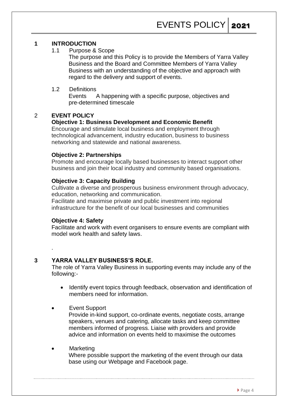#### **1 INTRODUCTION**

1.1 Purpose & Scope

The purpose and this Policy is to provide the Members of Yarra Valley Business and the Board and Committee Members of Yarra Valley Business with an understanding of the objective and approach with regard to the delivery and support of events.

1.2 Definitions

Events A happening with a specific purpose, objectives and pre-determined timescale

#### 2 **EVENT POLICY**

#### **Objective 1: Business Development and Economic Benefit**

Encourage and stimulate local business and employment through technological advancement, industry education, business to business networking and statewide and national awareness.

#### **Objective 2: Partnerships**

Promote and encourage locally based businesses to interact support other business and join their local industry and community based organisations.

#### **Objective 3: Capacity Building**

Cultivate a diverse and prosperous business environment through advocacy, education, networking and communication.

Facilitate and maximise private and public investment into regional infrastructure for the benefit of our local businesses and communities

#### **Objective 4: Safety**

.

Facilitate and work with event organisers to ensure events are compliant with model work health and safety laws.

#### **3 YARRA VALLEY BUSINESS'S ROLE.**

The role of Yarra Valley Business in supporting events may include any of the following:-

- Identify event topics through feedback, observation and identification of members need for information.
- Event Support

Provide in-kind support, co-ordinate events, negotiate costs, arrange speakers, venues and catering, allocate tasks and keep committee members informed of progress. Liaise with providers and provide advice and information on events held to maximise the outcomes

**Marketing** Where possible support the marketing of the event through our data base using our Webpage and Facebook page.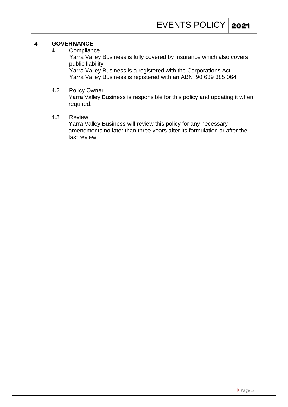#### **4 GOVERNANCE**

4.1 Compliance

Yarra Valley Business is fully covered by insurance which also covers public liability

Yarra Valley Business is a registered with the Corporations Act. Yarra Valley Business is registered with an ABN 90 639 385 064

#### 4.2 Policy Owner

Yarra Valley Business is responsible for this policy and updating it when required.

#### 4.3 Review

Yarra Valley Business will review this policy for any necessary amendments no later than three years after its formulation or after the last review.